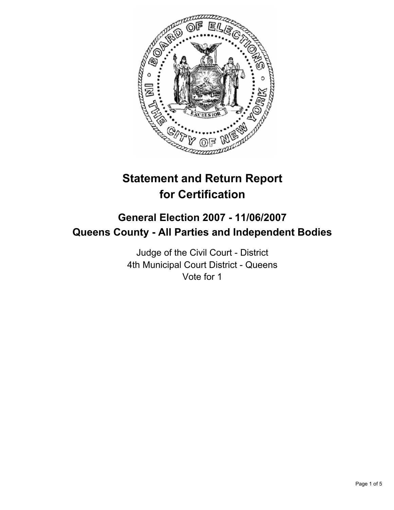

# **Statement and Return Report for Certification**

# **General Election 2007 - 11/06/2007 Queens County - All Parties and Independent Bodies**

Judge of the Civil Court - District 4th Municipal Court District - Queens Vote for 1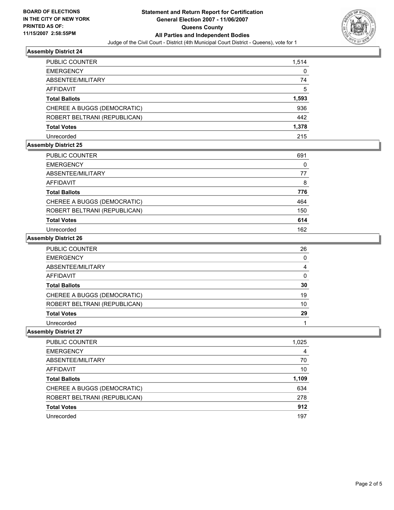

#### **Assembly District 24**

| PUBLIC COUNTER               | 1,514 |
|------------------------------|-------|
| <b>EMERGENCY</b>             | 0     |
| ABSENTEE/MILITARY            | 74    |
| <b>AFFIDAVIT</b>             | 5     |
| <b>Total Ballots</b>         | 1,593 |
| CHEREE A BUGGS (DEMOCRATIC)  | 936   |
| ROBERT BELTRANI (REPUBLICAN) | 442   |
| <b>Total Votes</b>           | 1,378 |
| Unrecorded                   | 215   |

## **Assembly District 25**

| PUBLIC COUNTER               | 691 |
|------------------------------|-----|
| <b>EMERGENCY</b>             |     |
| ABSENTEE/MILITARY            | 77  |
| <b>AFFIDAVIT</b>             | 8   |
| <b>Total Ballots</b>         | 776 |
| CHEREE A BUGGS (DEMOCRATIC)  | 464 |
| ROBERT BELTRANI (REPUBLICAN) | 150 |
| <b>Total Votes</b>           | 614 |
| Unrecorded                   | 162 |

#### **Assembly District 26**

| <b>PUBLIC COUNTER</b>        | 26 |
|------------------------------|----|
| <b>EMERGENCY</b>             |    |
| ABSENTEE/MILITARY            |    |
| AFFIDAVIT                    |    |
| <b>Total Ballots</b>         | 30 |
| CHEREE A BUGGS (DEMOCRATIC)  | 19 |
| ROBERT BELTRANI (REPUBLICAN) | 10 |
| <b>Total Votes</b>           | 29 |
| Unrecorded                   |    |

## **Assembly District 27**

| PUBLIC COUNTER               | 1,025 |
|------------------------------|-------|
| <b>EMERGENCY</b>             | 4     |
| ABSENTEE/MILITARY            | 70    |
| <b>AFFIDAVIT</b>             | 10    |
| <b>Total Ballots</b>         | 1,109 |
| CHEREE A BUGGS (DEMOCRATIC)  | 634   |
| ROBERT BELTRANI (REPUBLICAN) | 278   |
| <b>Total Votes</b>           | 912   |
| Unrecorded                   | 197   |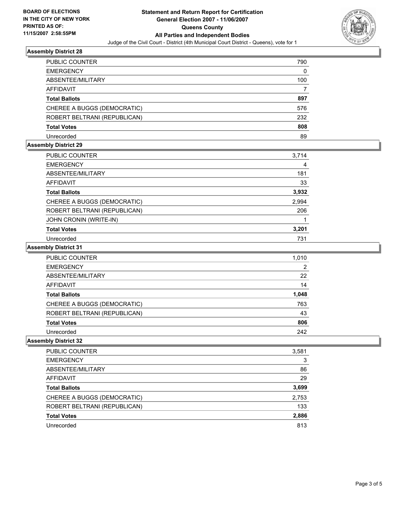

## **Assembly District 28**

| <b>PUBLIC COUNTER</b>        | 790 |
|------------------------------|-----|
| <b>EMERGENCY</b>             | 0   |
| ABSENTEE/MILITARY            | 100 |
| AFFIDAVIT                    |     |
| <b>Total Ballots</b>         | 897 |
| CHEREE A BUGGS (DEMOCRATIC)  | 576 |
| ROBERT BELTRANI (REPUBLICAN) | 232 |
| <b>Total Votes</b>           | 808 |
| Unrecorded                   | 89  |

#### **Assembly District 29**

| <b>PUBLIC COUNTER</b>        | 3,714 |  |
|------------------------------|-------|--|
| <b>EMERGENCY</b>             |       |  |
| ABSENTEE/MILITARY            | 181   |  |
| <b>AFFIDAVIT</b>             | 33    |  |
| <b>Total Ballots</b>         | 3,932 |  |
| CHEREE A BUGGS (DEMOCRATIC)  | 2,994 |  |
| ROBERT BELTRANI (REPUBLICAN) | 206   |  |
| JOHN CRONIN (WRITE-IN)       |       |  |
| <b>Total Votes</b>           | 3,201 |  |
| Unrecorded                   | 731   |  |

## **Assembly District 31**

| PUBLIC COUNTER               | 1,010 |
|------------------------------|-------|
| <b>EMERGENCY</b>             |       |
| ABSENTEE/MILITARY            | 22    |
| <b>AFFIDAVIT</b>             | 14    |
| <b>Total Ballots</b>         | 1,048 |
| CHEREE A BUGGS (DEMOCRATIC)  | 763   |
| ROBERT BELTRANI (REPUBLICAN) | 43    |
| <b>Total Votes</b>           | 806   |
| Unrecorded                   | 242   |

## **Assembly District 32**

| PUBLIC COUNTER               | 3,581 |
|------------------------------|-------|
| <b>EMERGENCY</b>             | 3     |
| ABSENTEE/MILITARY            | 86    |
| <b>AFFIDAVIT</b>             | 29    |
| <b>Total Ballots</b>         | 3,699 |
| CHEREE A BUGGS (DEMOCRATIC)  | 2,753 |
| ROBERT BELTRANI (REPUBLICAN) | 133   |
| <b>Total Votes</b>           | 2,886 |
| Unrecorded                   | 813   |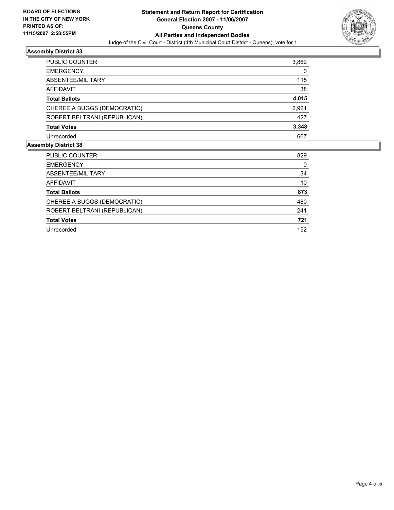

## **Assembly District 33**

| 3,862 |
|-------|
| 0     |
| 115   |
| 38    |
| 4,015 |
| 2,921 |
| 427   |
| 3,348 |
| 667   |
|       |

## **Assembly District 38**

| PUBLIC COUNTER               | 829 |
|------------------------------|-----|
| <b>EMERGENCY</b>             | 0   |
| ABSENTEE/MILITARY            | 34  |
| AFFIDAVIT                    | 10  |
| <b>Total Ballots</b>         | 873 |
| CHEREE A BUGGS (DEMOCRATIC)  | 480 |
| ROBERT BELTRANI (REPUBLICAN) | 241 |
| <b>Total Votes</b>           | 721 |
| Unrecorded                   | 152 |
|                              |     |